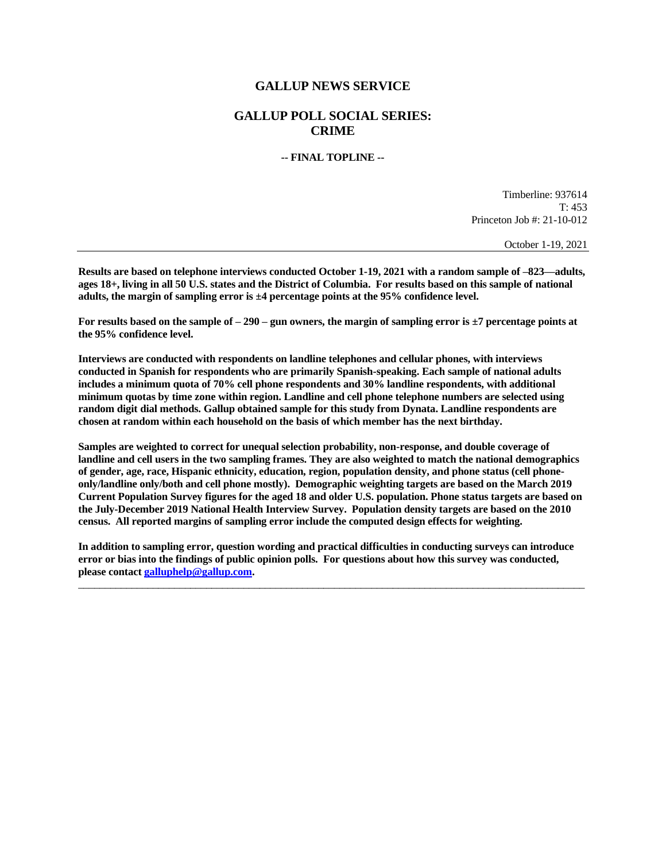# **GALLUP NEWS SERVICE**

# **GALLUP POLL SOCIAL SERIES: CRIME**

## **-- FINAL TOPLINE --**

Timberline: 937614 T: 453 Princeton Job #: 21-10-012

October 1-19, 2021

**Results are based on telephone interviews conducted October 1-19, 2021 with a random sample of –823—adults, ages 18+, living in all 50 U.S. states and the District of Columbia. For results based on this sample of national adults, the margin of sampling error is ±4 percentage points at the 95% confidence level.** 

**For results based on the sample of – 290 – gun owners, the margin of sampling error is ±7 percentage points at the 95% confidence level.** 

**Interviews are conducted with respondents on landline telephones and cellular phones, with interviews conducted in Spanish for respondents who are primarily Spanish-speaking. Each sample of national adults includes a minimum quota of 70% cell phone respondents and 30% landline respondents, with additional minimum quotas by time zone within region. Landline and cell phone telephone numbers are selected using random digit dial methods. Gallup obtained sample for this study from Dynata. Landline respondents are chosen at random within each household on the basis of which member has the next birthday.**

**Samples are weighted to correct for unequal selection probability, non-response, and double coverage of landline and cell users in the two sampling frames. They are also weighted to match the national demographics of gender, age, race, Hispanic ethnicity, education, region, population density, and phone status (cell phoneonly/landline only/both and cell phone mostly). Demographic weighting targets are based on the March 2019 Current Population Survey figures for the aged 18 and older U.S. population. Phone status targets are based on the July-December 2019 National Health Interview Survey. Population density targets are based on the 2010 census. All reported margins of sampling error include the computed design effects for weighting.** 

**In addition to sampling error, question wording and practical difficulties in conducting surveys can introduce error or bias into the findings of public opinion polls. For questions about how this survey was conducted, please contac[t galluphelp@gallup.com.](mailto:galluphelp@gallup.com)**

 $\overline{\phantom{a}}$  , and the contribution of the contribution of the contribution of the contribution of the contribution of the contribution of the contribution of the contribution of the contribution of the contribution of the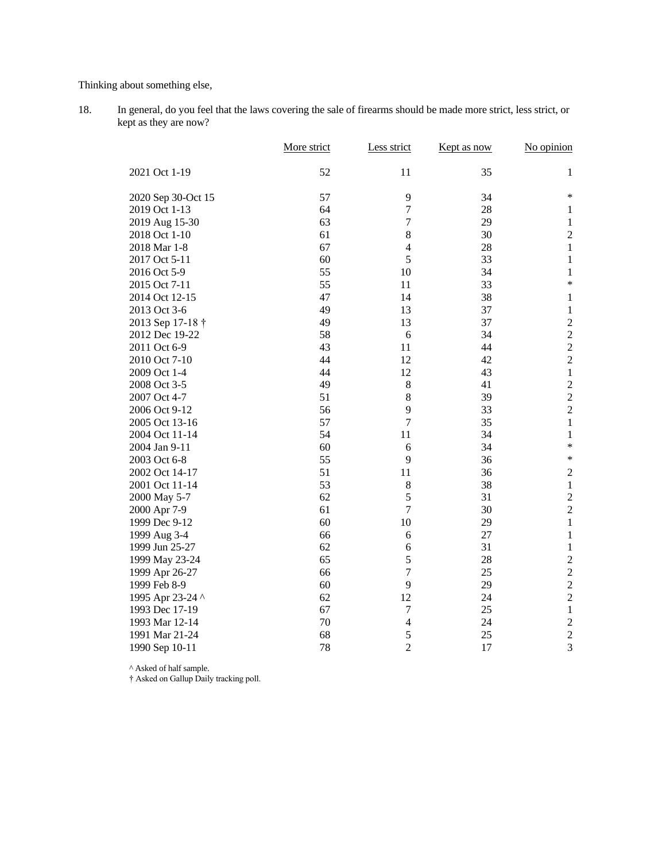Thinking about something else,

18. In general, do you feel that the laws covering the sale of firearms should be made more strict, less strict, or kept as they are now?

|                    | More strict | Less strict      | Kept as now | No opinion     |
|--------------------|-------------|------------------|-------------|----------------|
| 2021 Oct 1-19      | 52          | 11               | 35          | 1              |
| 2020 Sep 30-Oct 15 | 57          | 9                | 34          | *              |
| 2019 Oct 1-13      | 64          | $\overline{7}$   | 28          | $\mathbf{1}$   |
| 2019 Aug 15-30     | 63          | $\boldsymbol{7}$ | 29          | $\mathbf{1}$   |
| 2018 Oct 1-10      | 61          | 8                | 30          | $\sqrt{2}$     |
| 2018 Mar 1-8       | 67          | $\overline{4}$   | 28          | $\mathbf{1}$   |
| 2017 Oct 5-11      | 60          | 5                | 33          | $\mathbf{1}$   |
| 2016 Oct 5-9       | 55          | 10               | 34          | $\mathbf{1}$   |
| 2015 Oct 7-11      | 55          | 11               | 33          | *              |
| 2014 Oct 12-15     | 47          | 14               | 38          | $\mathbf{1}$   |
| 2013 Oct 3-6       | 49          | 13               | 37          | $\mathbf 1$    |
| 2013 Sep 17-18 †   | 49          | 13               | 37          | $\overline{2}$ |
| 2012 Dec 19-22     | 58          | 6                | 34          | $\overline{c}$ |
| 2011 Oct 6-9       | 43          | 11               | 44          | $\overline{c}$ |
| 2010 Oct 7-10      | 44          | 12               | 42          | $\overline{c}$ |
| 2009 Oct 1-4       | 44          | 12               | 43          | $\mathbf{1}$   |
| 2008 Oct 3-5       | 49          | 8                | 41          | $\overline{c}$ |
| 2007 Oct 4-7       | 51          | 8                | 39          | $\overline{c}$ |
| 2006 Oct 9-12      | 56          | 9                | 33          | $\overline{c}$ |
| 2005 Oct 13-16     | 57          | $\overline{7}$   | 35          | $\mathbf{1}$   |
| 2004 Oct 11-14     | 54          | 11               | 34          | $\mathbf{1}$   |
| 2004 Jan 9-11      | 60          | 6                | 34          | $\ast$         |
| 2003 Oct 6-8       | 55          | 9                | 36          | $\ast$         |
| 2002 Oct 14-17     | 51          | 11               | 36          | $\sqrt{2}$     |
| 2001 Oct 11-14     | 53          | $\,8\,$          | 38          | $\mathbf{1}$   |
| 2000 May 5-7       | 62          | 5                | 31          | $\sqrt{2}$     |
| 2000 Apr 7-9       | 61          | $\overline{7}$   | 30          | $\overline{2}$ |
| 1999 Dec 9-12      | 60          | 10               | 29          | $\,1$          |
| 1999 Aug 3-4       | 66          | 6                | 27          | 1              |
| 1999 Jun 25-27     | 62          | 6                | 31          | $\mathbf{1}$   |
| 1999 May 23-24     | 65          | 5                | 28          | $\overline{2}$ |
| 1999 Apr 26-27     | 66          | $\overline{7}$   | 25          | $\overline{c}$ |
| 1999 Feb 8-9       | 60          | 9                | 29          | $\overline{c}$ |
| 1995 Apr 23-24 ^   | 62          | 12               | 24          | $\overline{c}$ |
| 1993 Dec 17-19     | 67          | $\tau$           | 25          | $\mathbf{1}$   |
| 1993 Mar 12-14     | 70          | $\overline{4}$   | 24          | $\overline{2}$ |
| 1991 Mar 21-24     | 68          | 5                | 25          | $\overline{c}$ |
| 1990 Sep 10-11     | 78          | $\overline{2}$   | 17          | $\overline{3}$ |

^ Asked of half sample.

† Asked on Gallup Daily tracking poll.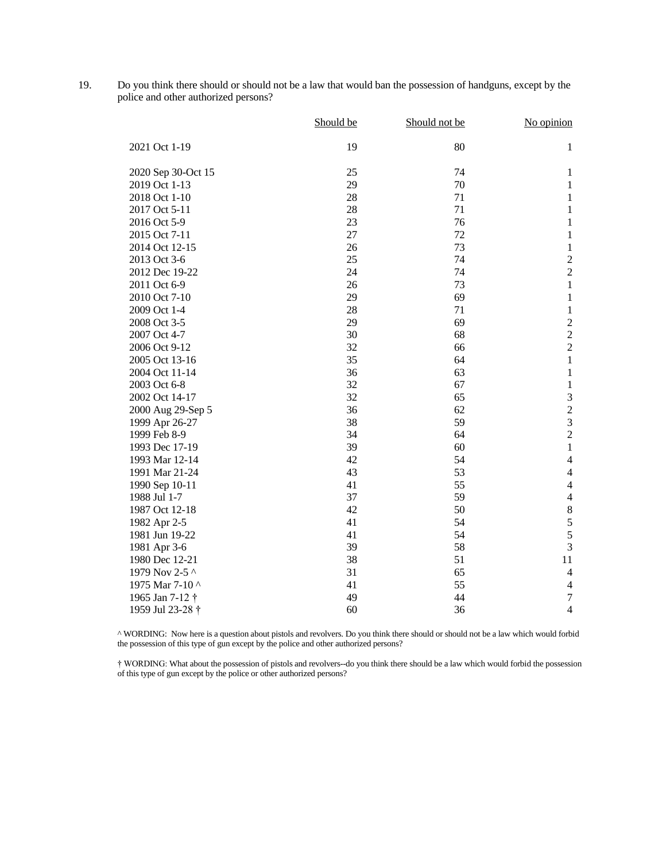19. Do you think there should or should not be a law that would ban the possession of handguns, except by the police and other authorized persons?

|                             | Should be | Should not be | No opinion              |
|-----------------------------|-----------|---------------|-------------------------|
| 2021 Oct 1-19               | 19        | 80            | $\mathbf{1}$            |
| 2020 Sep 30-Oct 15          | 25        | 74            | $\mathbf{1}$            |
| 2019 Oct 1-13               | 29        | 70            | $\mathbf{1}$            |
| 2018 Oct 1-10               | 28        | 71            | $\,1$                   |
| 2017 Oct 5-11               | 28        | 71            | $\mathbf 1$             |
| 2016 Oct 5-9                | 23        | 76            | $\mathbf{1}$            |
| 2015 Oct 7-11               | 27        | 72            | $\mathbf{1}$            |
| 2014 Oct 12-15              | 26        | 73            | $\,1\,$                 |
| 2013 Oct 3-6                | 25        | 74            | $\boldsymbol{2}$        |
| 2012 Dec 19-22              | 24        | 74            | $\overline{c}$          |
| 2011 Oct 6-9                | 26        | 73            | $\,1$                   |
| 2010 Oct 7-10               | 29        | 69            | $\mathbf 1$             |
| 2009 Oct 1-4                | 28        | 71            | $\mathbf{1}$            |
| 2008 Oct 3-5                | 29        | 69            | $\overline{c}$          |
| 2007 Oct 4-7                | 30        | 68            | $\overline{c}$          |
| 2006 Oct 9-12               | 32        | 66            | $\overline{c}$          |
| 2005 Oct 13-16              | 35        | 64            | $\,1$                   |
| 2004 Oct 11-14              | 36        | 63            | $\mathbf 1$             |
| 2003 Oct 6-8                | 32        | 67            | $\mathbf{1}$            |
| 2002 Oct 14-17              | 32        | 65            | 3                       |
| 2000 Aug 29-Sep 5           | 36        | 62            | $\overline{c}$          |
| 1999 Apr 26-27              | 38        | 59            | $\overline{\mathbf{3}}$ |
| 1999 Feb 8-9                | 34        | 64            | $\overline{c}$          |
| 1993 Dec 17-19              | 39        | 60            | $\mathbf{1}$            |
| 1993 Mar 12-14              | 42        | 54            | $\overline{4}$          |
| 1991 Mar 21-24              | 43        | 53            | $\overline{4}$          |
| 1990 Sep 10-11              | 41        | 55            | $\overline{4}$          |
| 1988 Jul 1-7                | 37        | 59            | $\overline{4}$          |
| 1987 Oct 12-18              | 42        | 50            | $\,$ 8 $\,$             |
| 1982 Apr 2-5                | 41        | 54            | 5                       |
| 1981 Jun 19-22              | 41        | 54            | $\overline{5}$          |
| 1981 Apr 3-6                | 39        | 58            | $\overline{3}$          |
| 1980 Dec 12-21              | 38        | 51            | 11                      |
| 1979 Nov 2-5 ^              | 31        | 65            | $\overline{4}$          |
| 1975 Mar 7-10 ^             | 41        | 55            | $\overline{4}$          |
| 1965 Jan 7-12 †             | 49        | 44            | $\boldsymbol{7}$        |
| 1959 Jul 23-28 <sup>+</sup> | 60        | 36            | $\overline{4}$          |

^ WORDING: Now here is a question about pistols and revolvers. Do you think there should or should not be a law which would forbid the possession of this type of gun except by the police and other authorized persons?

† WORDING: What about the possession of pistols and revolvers--do you think there should be a law which would forbid the possession of this type of gun except by the police or other authorized persons?